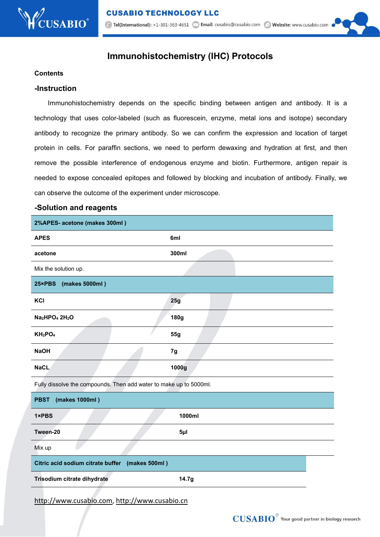# **Immunohistochemistry (IHC) Protocols**

#### **Contents**

#### **-Instruction**

Immunohistochemistry depends on the specific binding between antigen and antibody. It is a technology that uses color-labeled (such as fluorescein, enzyme, metal ions and isotope) secondary antibody to recognize the primary antibody. So we can confirm the expression and location of target protein in cells. For paraffin sections, we need to perform dewaxing and hydration at first, and then remove the possible interference of endogenous enzyme and biotin. Furthermore, antigen repair is needed to expose concealed epitopes and followed by blocking and incubation of antibody. Finally, we can observe the outcome of the experiment under microscope.

#### **-Solution and reagents**

| 2%APES- acetone (makes 300ml)                                      |             |
|--------------------------------------------------------------------|-------------|
| <b>APES</b>                                                        | 6ml         |
| acetone                                                            | 300ml       |
| Mix the solution up.                                               |             |
| 25×PBS<br>(makes 5000ml)                                           |             |
| KCI                                                                | 25g         |
| Na <sub>2</sub> HPO <sub>4</sub> 2H <sub>2</sub> O                 | <b>180g</b> |
| $KH_2PO_4$                                                         | 55g         |
| <b>NaOH</b>                                                        | 7g          |
| <b>NaCL</b>                                                        | 1000g       |
| Fully dissolve the compounds. Then add water to make up to 5000ml. |             |
| (makes 1000ml)<br><b>PBST</b>                                      |             |
| 1×PBS                                                              | 1000ml      |
| Tween-20                                                           | $5\mu$      |
| Mix up                                                             |             |
| Citric acid sodium citrate buffer (makes 500ml)                    |             |
| Trisodium citrate dihydrate                                        | 14.7g       |
|                                                                    |             |

http://www.cusabio.com, http://www.cusabio.cn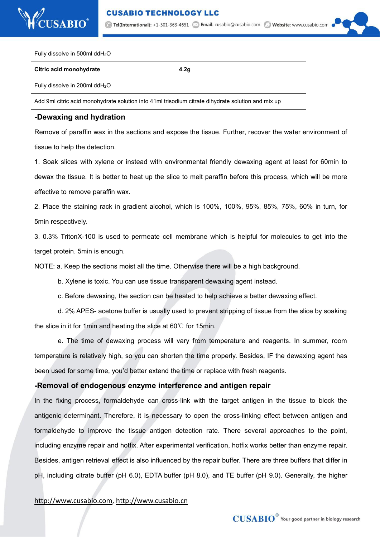

1. Tel(International): +1-301-363-4651 2 Email: cusabio@cusabio.com 2 Website: www.cusabio.com



Fully dissolve in 500ml ddH2O

**Citric acid monohydrate 4.2g**

Fully dissolve in 200ml ddH2O

Add 9ml citric acid monohydrate solution into 41ml trisodium citrate dihydrate solution and mix up

#### **-Dewaxing and hydration**

Remove of paraffin wax in the sections and expose the tissue. Further, recover the water environment of tissue to help the detection.

1. Soak slices with xylene or instead with environmental friendly dewaxing agent at least for 60min to dewax the tissue. It is better to heat up the slice to melt paraffin before this process, which will be more effective to remove paraffin wax.

2. Place the staining rack in gradient alcohol, which is 100%, 100%, 95%, 85%, 75%, 60% in turn, for 5min respectively.

3. 0.3% TritonX-100 is used to permeate cell membrane which is helpful for molecules to get into the target protein. 5min is enough.

NOTE: a. Keep the sections moist all the time. Otherwise there will be a high background.

b. Xylene is toxic. You can use tissue transparent dewaxing agent instead.

c. Before dewaxing, the section can be heated to help achieve a better dewaxing effect.

d. 2% APES- acetone buffer is usually used to prevent stripping of tissue from the slice by soaking the slice in it for 1min and heating the slice at 60℃ for 15min.

e. The time of dewaxing process will vary from temperature and reagents. In summer, room temperature is relatively high, so you can shorten the time properly. Besides, IF the dewaxing agent has been used for some time, you'd better extend the time or replace with fresh reagents.

## **-Removal of endogenous enzyme interference and antigen repair**

In the fixing process, formaldehyde can cross-link with the target antigen in the tissue to block the antigenic determinant. Therefore, it is necessary to open the cross-linking effect between antigen and formaldehyde to improve the tissue antigen detection rate. There several approaches to the point, including enzyme repair and hotfix. After experimental verification, hotfix works better than enzyme repair. Besides, antigen retrieval effect is also influenced by the repair buffer. There are three buffers that differ in pH, including citrate buffer (pH 6.0), EDTA buffer (pH 8.0), and TE buffer (pH 9.0). Generally, the higher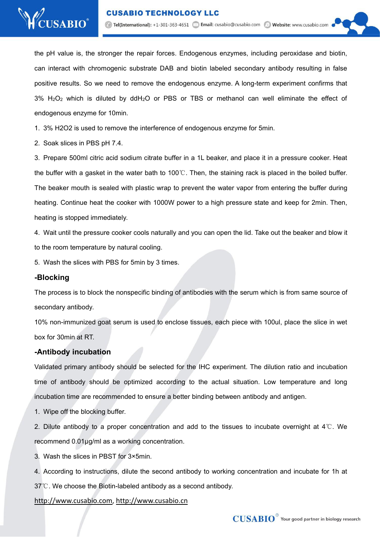

the pH value is, the stronger the repair forces. Endogenous enzymes, including peroxidase and biotin, can interact with chromogenic substrate DAB and biotin labeled secondary antibody resulting in false positive results. So we need to remove the endogenous enzyme.A long-term experiment confirms that  $3\%$  H<sub>2</sub>O<sub>2</sub> which is diluted by ddH<sub>2</sub>O or PBS or TBS or methanol can well eliminate the effect of endogenous enzyme for 10min.

1. 3% H2O2 is used to remove the interference of endogenous enzyme for 5min.

2. Soak slices in PBS pH 7.4.

3. Prepare 500ml citric acid sodium citrate buffer in a 1L beaker, and place it in a pressure cooker. Heat the buffer with a gasket in the water bath to 100℃. Then, the staining rack is placed in the boiled buffer. The beaker mouth is sealed with plastic wrap to prevent the water vapor from entering the buffer during heating. Continue heat the cooker with 1000W power to a high pressure state and keep for 2min. Then, heating is stopped immediately.

4. Wait until the pressure cooker cools naturally and you can open the lid. Take out the beaker and blow it to the room temperature by natural cooling.

5. Wash the slices with PBS for 5min by 3 times.

## **-Blocking**

The process is to block the nonspecific binding of antibodies with the serum which is from same source of

secondary antibody.<br>10% non-immunized goat serum is used to enclose tissues, each piece with 100ul, place the slice in wet box for 30min at RT.

## **-Antibody incubation**

Validated primary antibody should be selected for the IHC experiment. The dilution ratio and incubation time of antibody should be optimized according to the actual situation. Low temperature and long incubation time are recommended to ensure a better binding between antibody and antigen.

1. Wipe off the blocking buffer.

2. Dilute antibody to a proper concentration and add to the tissues to incubate overnight at 4℃. We recommend 0.01μg/ml as a working concentration.

3. Wash the slices in PBST for 3×5min.

4. According to instructions, dilute the second antibody to working concentration and incubate for 1h at 37℃. We choose the Biotin-labeled antibody as a second antibody.

## http://www.cusabio.com, http://www.cusabio.cn